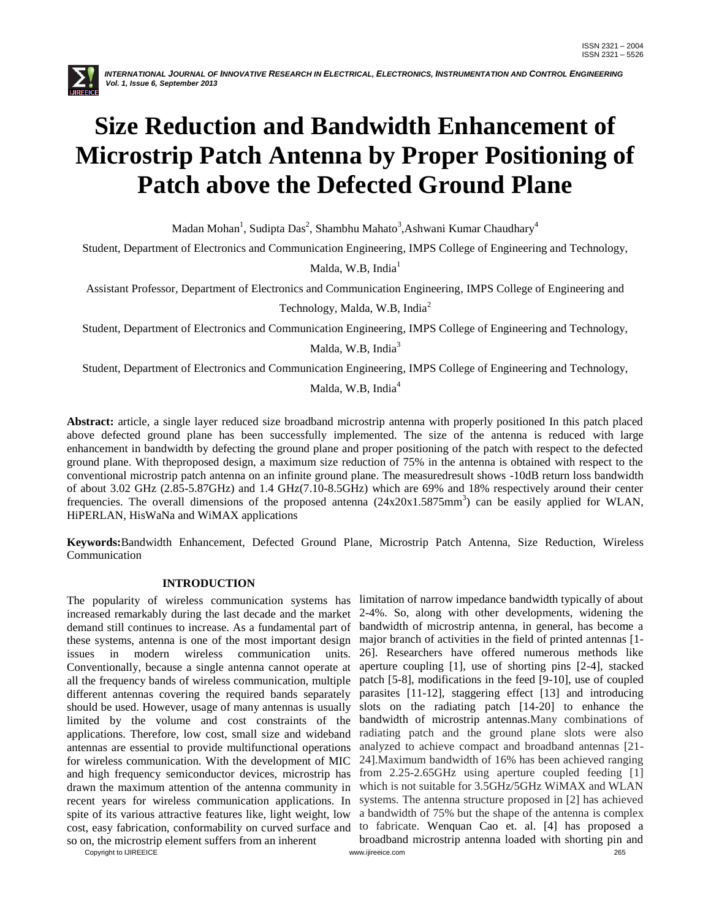

# **Size Reduction and Bandwidth Enhancement of Microstrip Patch Antenna by Proper Positioning of Patch above the Defected Ground Plane**

Madan Mohan<sup>1</sup>, Sudipta Das<sup>2</sup>, Shambhu Mahato<sup>3</sup>,Ashwani Kumar Chaudhary<sup>4</sup>

Student, Department of Electronics and Communication Engineering, IMPS College of Engineering and Technology,

Malda, W.B, India<sup>1</sup>

Assistant Professor, Department of Electronics and Communication Engineering, IMPS College of Engineering and

Technology, Malda, W.B, India<sup>2</sup>

Student, Department of Electronics and Communication Engineering, IMPS College of Engineering and Technology,

Malda, W.B, India<sup>3</sup>

Student, Department of Electronics and Communication Engineering, IMPS College of Engineering and Technology,

Malda, W.B, India<sup>4</sup>

**Abstract:** article, a single layer reduced size broadband microstrip antenna with properly positioned In this patch placed above defected ground plane has been successfully implemented. The size of the antenna is reduced with large enhancement in bandwidth by defecting the ground plane and proper positioning of the patch with respect to the defected ground plane. With theproposed design, a maximum size reduction of 75% in the antenna is obtained with respect to the conventional microstrip patch antenna on an infinite ground plane. The measuredresult shows -10dB return loss bandwidth of about 3.02 GHz (2.85-5.87GHz) and 1.4 GHz(7.10-8.5GHz) which are 69% and 18% respectively around their center frequencies. The overall dimensions of the proposed antenna  $(24x20x1.5875mm^3)$  can be easily applied for WLAN, HiPERLAN, HisWaNa and WiMAX applications

**Keywords:**Bandwidth Enhancement, Defected Ground Plane, Microstrip Patch Antenna, Size Reduction, Wireless Communication

# **INTRODUCTION**

The popularity of wireless communication systems has limitation of narrow impedance bandwidth typically of about increased remarkably during the last decade and the market 2-4%. So, along with other developments, widening the demand still continues to increase. As a fundamental part of bandwidth of microstrip antenna, in general, has become a these systems, antenna is one of the most important design major branch of activities in the field of printed antennas [1 issues in modern wireless communication units. Conventionally, because a single antenna cannot operate at all the frequency bands of wireless communication, multiple different antennas covering the required bands separately should be used. However, usage of many antennas is usually limited by the volume and cost constraints of the applications. Therefore, low cost, small size and wideband antennas are essential to provide multifunctional operations for wireless communication. With the development of MIC and high frequency semiconductor devices, microstrip has drawn the maximum attention of the antenna community in recent years for wireless communication applications. In spite of its various attractive features like, light weight, low cost, easy fabrication, conformability on curved surface and so on, the microstrip element suffers from an inherent

Copyright to IJIREEICE [www.ijireeice.com](http://www.ijireeice.com/) 265 26]. Researchers have offered numerous methods like aperture coupling [1], use of shorting pins [2-4], stacked patch [5-8], modifications in the feed [9-10], use of coupled parasites [11-12], staggering effect [13] and introducing slots on the radiating patch [14-20] to enhance the bandwidth of microstrip antennas.Many combinations of radiating patch and the ground plane slots were also analyzed to achieve compact and broadband antennas [21- 24].Maximum bandwidth of 16% has been achieved ranging from 2.25-2.65GHz using aperture coupled feeding [1] which is not suitable for 3.5GHz/5GHz WiMAX and WLAN systems. The antenna structure proposed in [2] has achieved a bandwidth of 75% but the shape of the antenna is complex to fabricate. Wenquan Cao et. al. [4] has proposed a broadband microstrip antenna loaded with shorting pin and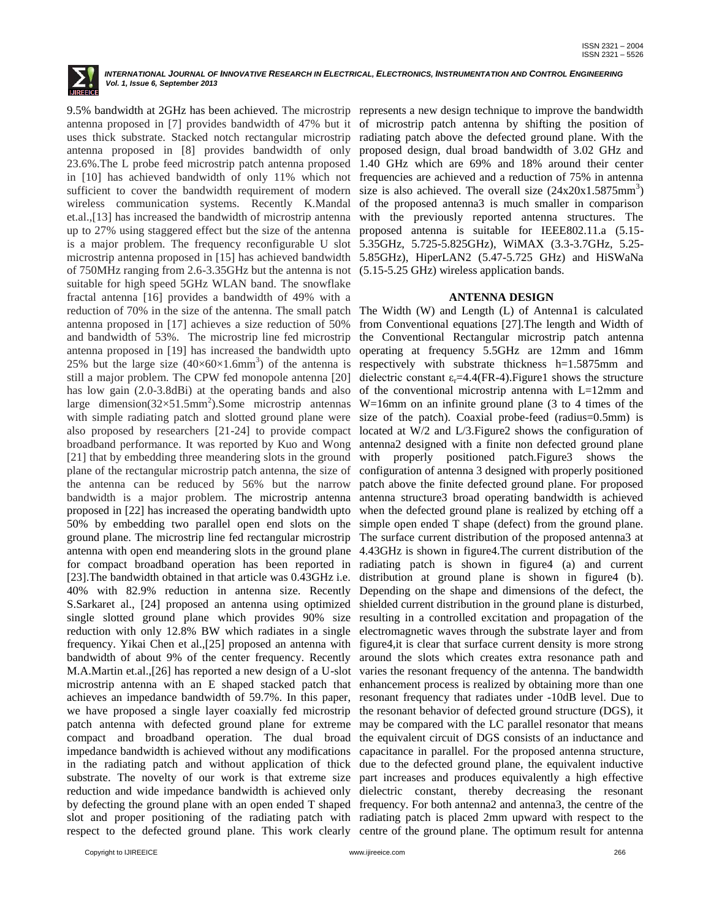

in [10] has achieved bandwidth of only 11% which not sufficient to cover the bandwidth requirement of modern wireless communication systems. Recently K.Mandal et.al.,[13] has increased the bandwidth of microstrip antenna up to 27% using staggered effect but the size of the antenna is a major problem. The frequency reconfigurable U slot microstrip antenna proposed in [15] has achieved bandwidth of 750MHz ranging from 2.6-3.35GHz but the antenna is not (5.15-5.25 GHz) wireless application bands. suitable for high speed 5GHz WLAN band. The snowflake fractal antenna [16] provides a bandwidth of 49% with a antenna proposed in [17] achieves a size reduction of 50% and bandwidth of 53%. The microstrip line fed microstrip antenna proposed in [19] has increased the bandwidth upto 25% but the large size  $(40\times60\times1.6$ mm<sup>3</sup>) of the antenna is still a major problem. The CPW fed monopole antenna [20] has low gain (2.0-3.8dBi) at the operating bands and also large dimension( $32 \times 51.5$ mm<sup>2</sup>).Some microstrip antennas with simple radiating patch and slotted ground plane were broadband performance. It was reported by Kuo and Wong [21] that by embedding three meandering slots in the ground plane of the rectangular microstrip patch antenna, the size of the antenna can be reduced by 56% but the narrow bandwidth is a major problem. The microstrip antenna proposed in [22] has increased the operating bandwidth upto 50% by embedding two parallel open end slots on the ground plane. The microstrip line fed rectangular microstrip S.Sarkaret al., [24] proposed an antenna using optimized single slotted ground plane which provides 90% size reduction with only 12.8% BW which radiates in a single bandwidth of about 9% of the center frequency. Recently achieves an impedance bandwidth of 59.7%. In this paper, compact and broadband operation. The dual broad impedance bandwidth is achieved without any modifications in the radiating patch and without application of thick substrate. The novelty of our work is that extreme size reduction and wide impedance bandwidth is achieved only respect to the defected ground plane. This work clearly centre of the ground plane. The optimum result for antenna

9.5% bandwidth at 2GHz has been achieved. The microstrip represents a new design technique to improve the bandwidth antenna proposed in [7] provides bandwidth of 47% but it of microstrip patch antenna by shifting the position of uses thick substrate. Stacked notch rectangular microstrip radiating patch above the defected ground plane. With the antenna proposed in [8] provides bandwidth of only proposed design, dual broad bandwidth of 3.02 GHz and 23.6%.The L probe feed microstrip patch antenna proposed 1.40 GHz which are 69% and 18% around their center frequencies are achieved and a reduction of 75% in antenna size is also achieved. The overall size  $(24x20x1.5875mm^3)$ of the proposed antenna3 is much smaller in comparison with the previously reported antenna structures. The proposed antenna is suitable for IEEE802.11.a (5.15- 5.35GHz, 5.725-5.825GHz), WiMAX (3.3-3.7GHz, 5.25- 5.85GHz), HiperLAN2 (5.47-5.725 GHz) and HiSWaNa

### **ANTENNA DESIGN**

reduction of 70% in the size of the antenna. The small patch The Width (W) and Length (L) of Antenna1 is calculated also proposed by researchers [21-24] to provide compact located at W/2 and L/3. Figure 2 shows the configuration of antenna with open end meandering slots in the ground plane 4.43GHz is shown in figure4.The current distribution of the for compact broadband operation has been reported in radiating patch is shown in figure 4 (a) and current [23].The bandwidth obtained in that article was 0.43GHz i.e. distribution at ground plane is shown in figure4 (b). 40% with 82.9% reduction in antenna size. Recently Depending on the shape and dimensions of the defect, the frequency. Yikai Chen et al.,[25] proposed an antenna with figure4,it is clear that surface current density is more strong M.A.Martin et.al.,[26] has reported a new design of a U-slot varies the resonant frequency of the antenna. The bandwidth microstrip antenna with an E shaped stacked patch that enhancement process is realized by obtaining more than one we have proposed a single layer coaxially fed microstrip the resonant behavior of defected ground structure (DGS), it patch antenna with defected ground plane for extreme may be compared with the LC parallel resonator that means by defecting the ground plane with an open ended T shaped frequency. For both antenna2 and antenna3, the centre of the slot and proper positioning of the radiating patch with radiating patch is placed 2mm upward with respect to the from Conventional equations [27].The length and Width of the Conventional Rectangular microstrip patch antenna operating at frequency 5.5GHz are 12mm and 16mm respectively with substrate thickness h=1.5875mm and dielectric constant  $\varepsilon_r$ =4.4(FR-4). Figure1 shows the structure of the conventional microstrip antenna with L=12mm and W=16mm on an infinite ground plane (3 to 4 times of the size of the patch). Coaxial probe-feed (radius=0.5mm) is antenna2 designed with a finite non defected ground plane with properly positioned patch.Figure3 shows the configuration of antenna 3 designed with properly positioned patch above the finite defected ground plane. For proposed antenna structure3 broad operating bandwidth is achieved when the defected ground plane is realized by etching off a simple open ended T shape (defect) from the ground plane. The surface current distribution of the proposed antenna3 at shielded current distribution in the ground plane is disturbed, resulting in a controlled excitation and propagation of the electromagnetic waves through the substrate layer and from around the slots which creates extra resonance path and resonant frequency that radiates under -10dB level. Due to the equivalent circuit of DGS consists of an inductance and capacitance in parallel. For the proposed antenna structure, due to the defected ground plane, the equivalent inductive part increases and produces equivalently a high effective dielectric constant, thereby decreasing the resonant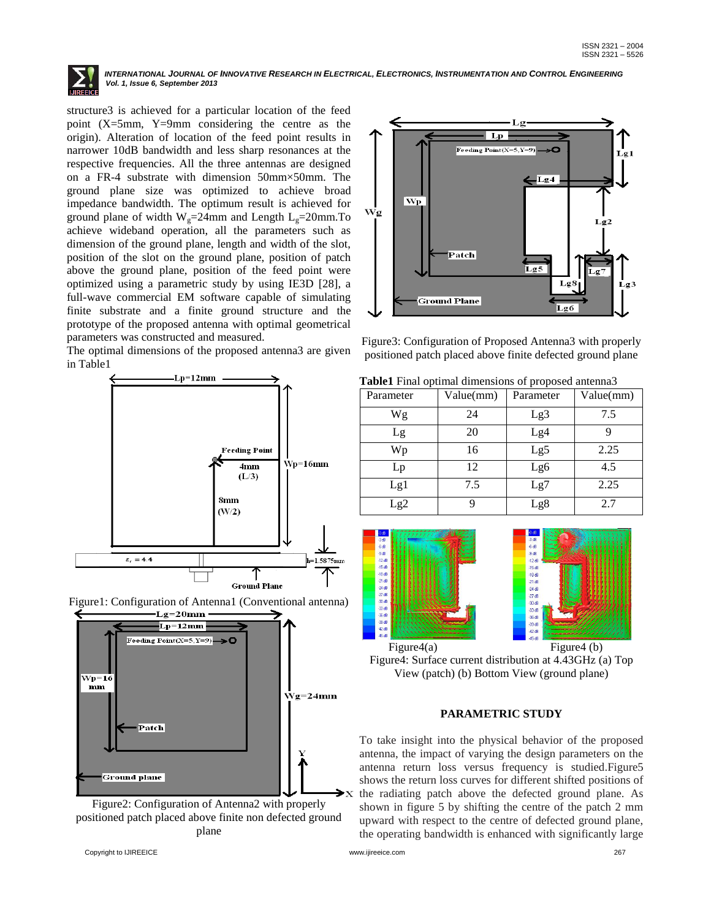

structure3 is achieved for a particular location of the feed point (X=5mm, Y=9mm considering the centre as the origin). Alteration of location of the feed point results in narrower 10dB bandwidth and less sharp resonances at the respective frequencies. All the three antennas are designed on a FR-4 substrate with dimension 50mm×50mm. The ground plane size was optimized to achieve broad impedance bandwidth. The optimum result is achieved for ground plane of width  $W_g=24$ mm and Length  $L_g=20$ mm.To achieve wideband operation, all the parameters such as dimension of the ground plane, length and width of the slot, position of the slot on the ground plane, position of patch above the ground plane, position of the feed point were optimized using a parametric study by using IE3D [28], a full-wave commercial EM software capable of simulating finite substrate and a finite ground structure and the prototype of the proposed antenna with optimal geometrical parameters was constructed and measured.

The optimal dimensions of the proposed antenna3 are given in Table1



Figure1: Configuration of Antenna1 (Conventional antenna)  $Lg=20$ mm



Figure2: Configuration of Antenna2 with properly positioned patch placed above finite non defected ground plane



Figure3: Configuration of Proposed Antenna3 with properly positioned patch placed above finite defected ground plane

| Table1 Final optimal dimensions of proposed antenna3 |  |
|------------------------------------------------------|--|
|------------------------------------------------------|--|

| Parameter | Value(mm) | Parameter | Value(mm) |
|-----------|-----------|-----------|-----------|
| Wg        | 24        | Lg3       | 7.5       |
| Lg        | 20        | Lg4       |           |
| Wp        | 16        | Lg5       | 2.25      |
| Lp        | 12        | Lg6       | 4.5       |
| Lg1       | 7.5       | Lg7       | 2.25      |
| Lg2       |           | Lg8       | 2.7       |





Figure4(a) Figure4 (b) Figure4: Surface current distribution at 4.43GHz (a) Top View (patch) (b) Bottom View (ground plane)

# **PARAMETRIC STUDY**

To take insight into the physical behavior of the proposed antenna, the impact of varying the design parameters on the antenna return loss versus frequency is studied.Figure5 shows the return loss curves for different shifted positions of the radiating patch above the defected ground plane. As shown in figure 5 by shifting the centre of the patch 2 mm upward with respect to the centre of defected ground plane, the operating bandwidth is enhanced with significantly large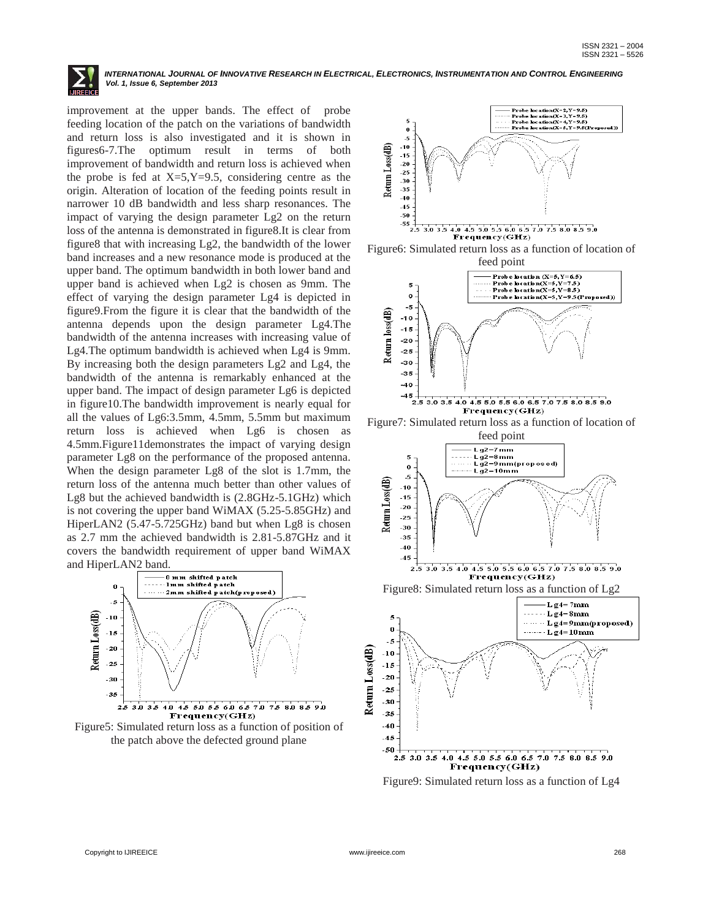improvement at the upper bands. The effect of probe feeding location of the patch on the variations of bandwidth and return loss is also investigated and it is shown in figures6-7.The optimum result in terms of both improvement of bandwidth and return loss is achieved when the probe is fed at  $X=5, Y=9.5$ , considering centre as the origin. Alteration of location of the feeding points result in narrower 10 dB bandwidth and less sharp resonances. The impact of varying the design parameter Lg2 on the return loss of the antenna is demonstrated in figure8.It is clear from figure8 that with increasing Lg2, the bandwidth of the lower band increases and a new resonance mode is produced at the upper band. The optimum bandwidth in both lower band and upper band is achieved when Lg2 is chosen as 9mm. The effect of varying the design parameter Lg4 is depicted in figure9.From the figure it is clear that the bandwidth of the antenna depends upon the design parameter Lg4.The bandwidth of the antenna increases with increasing value of Lg4.The optimum bandwidth is achieved when Lg4 is 9mm. By increasing both the design parameters Lg2 and Lg4, the bandwidth of the antenna is remarkably enhanced at the upper band. The impact of design parameter Lg6 is depicted in figure10.The bandwidth improvement is nearly equal for all the values of Lg6:3.5mm, 4.5mm, 5.5mm but maximum return loss is achieved when Lg6 is chosen as 4.5mm.Figure11demonstrates the impact of varying design parameter Lg8 on the performance of the proposed antenna. When the design parameter Lg8 of the slot is 1.7mm, the return loss of the antenna much better than other values of Lg8 but the achieved bandwidth is (2.8GHz-5.1GHz) which is not covering the upper band WiMAX (5.25-5.85GHz) and HiperLAN2 (5.47-5.725GHz) band but when Lg8 is chosen as 2.7 mm the achieved bandwidth is 2.81-5.87GHz and it covers the bandwidth requirement of upper band WiMAX and HiperLAN2 band.



Figure5: Simulated return loss as a function of position of the patch above the defected ground plane











Figure9: Simulated return loss as a function of Lg4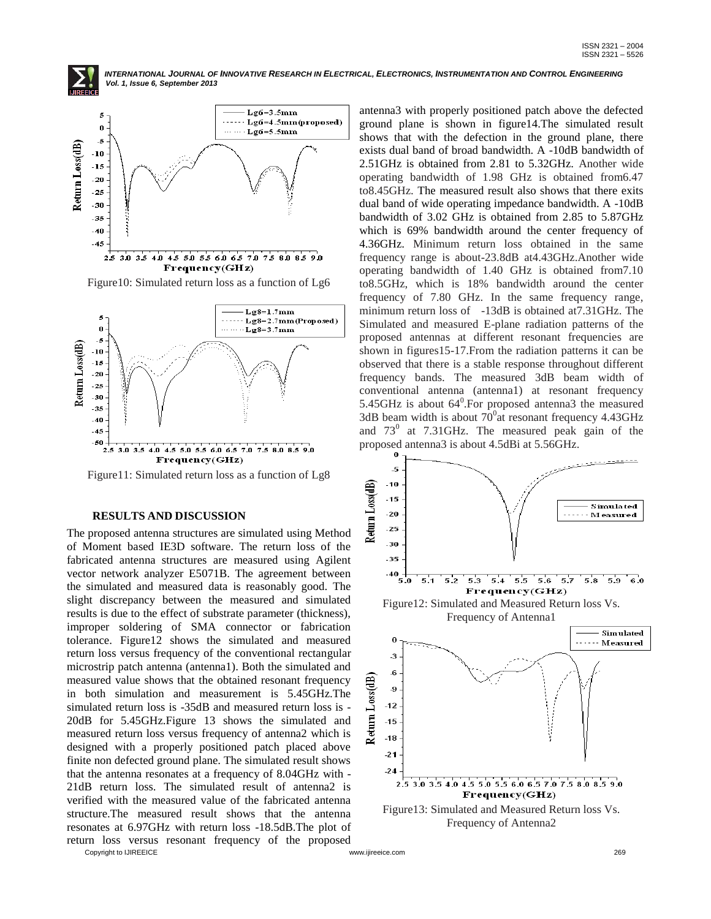



Figure10: Simulated return loss as a function of Lg6



Figure11: Simulated return loss as a function of Lg8

## **RESULTS AND DISCUSSION**

The proposed antenna structures are simulated using Method of Moment based IE3D software. The return loss of the fabricated antenna structures are measured using Agilent vector network analyzer E5071B. The agreement between the simulated and measured data is reasonably good. The slight discrepancy between the measured and simulated results is due to the effect of substrate parameter (thickness), improper soldering of SMA connector or fabrication tolerance. Figure12 shows the simulated and measured return loss versus frequency of the conventional rectangular microstrip patch antenna (antenna1). Both the simulated and measured value shows that the obtained resonant frequency in both simulation and measurement is 5.45GHz.The simulated return loss is -35dB and measured return loss is - 20dB for 5.45GHz.Figure 13 shows the simulated and measured return loss versus frequency of antenna2 which is designed with a properly positioned patch placed above finite non defected ground plane. The simulated result shows that the antenna resonates at a frequency of 8.04GHz with - 21dB return loss. The simulated result of antenna2 is verified with the measured value of the fabricated antenna structure.The measured result shows that the antenna resonates at 6.97GHz with return loss -18.5dB.The plot of return loss versus resonant frequency of the proposed

antenna3 with properly positioned patch above the defected ground plane is shown in figure14.The simulated result shows that with the defection in the ground plane, there exists dual band of broad bandwidth. A -10dB bandwidth of 2.51GHz is obtained from 2.81 to 5.32GHz. Another wide operating bandwidth of 1.98 GHz is obtained from6.47 to8.45GHz. The measured result also shows that there exits dual band of wide operating impedance bandwidth. A -10dB bandwidth of 3.02 GHz is obtained from 2.85 to 5.87GHz which is 69% bandwidth around the center frequency of 4.36GHz. Minimum return loss obtained in the same frequency range is about-23.8dB at4.43GHz.Another wide operating bandwidth of 1.40 GHz is obtained from7.10 to8.5GHz, which is 18% bandwidth around the center frequency of 7.80 GHz. In the same frequency range, minimum return loss of -13dB is obtained at7.31GHz. The Simulated and measured E-plane radiation patterns of the proposed antennas at different resonant frequencies are shown in figures15-17.From the radiation patterns it can be observed that there is a stable response throughout different frequency bands. The measured 3dB beam width of conventional antenna (antenna1) at resonant frequency 5.45GHz is about  $64^0$ . For proposed antenna3 the measured 3dB beam width is about  $70^{\circ}$ at resonant frequency 4.43GHz and  $73^0$  at 7.31GHz. The measured peak gain of the proposed antenna3 is about 4.5dBi at 5.56GHz.



Copyright to IJIREEICE [www.ijireeice.com](http://www.ijireeice.com/) 269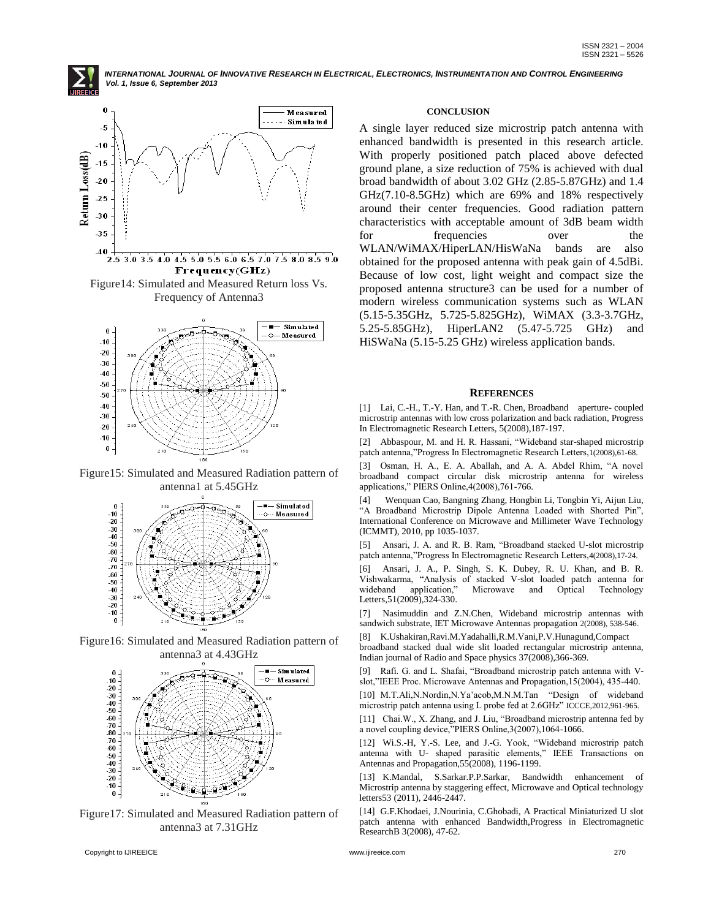



Frequency(GHz)

Figure14: Simulated and Measured Return loss Vs. Frequency of Antenna3



Figure15: Simulated and Measured Radiation pattern of antenna1 at 5.45GHz



Figure16: Simulated and Measured Radiation pattern of antenna3 at 4.43GHz



Figure17: Simulated and Measured Radiation pattern of antenna3 at 7.31GHz

## **CONCLUSION**

A single layer reduced size microstrip patch antenna with enhanced bandwidth is presented in this research article. With properly positioned patch placed above defected ground plane, a size reduction of 75% is achieved with dual broad bandwidth of about 3.02 GHz (2.85-5.87GHz) and 1.4 GHz(7.10-8.5GHz) which are 69% and 18% respectively around their center frequencies. Good radiation pattern characteristics with acceptable amount of 3dB beam width for frequencies over WLAN/WiMAX/HiperLAN/HisWaNa bands are also obtained for the proposed antenna with peak gain of 4.5dBi. Because of low cost, light weight and compact size the proposed antenna structure3 can be used for a number of modern wireless communication systems such as WLAN (5.15-5.35GHz, 5.725-5.825GHz), WiMAX (3.3-3.7GHz, 5.25-5.85GHz), HiperLAN2 (5.47-5.725 GHz) and HiSWaNa (5.15-5.25 GHz) wireless application bands.

#### **REFERENCES**

[1] Lai, C.-H., T.-Y. Han, and T.-R. Chen, Broadband aperture- coupled microstrip antennas with low cross polarization and back radiation, Progress In Electromagnetic Research Letters, 5(2008),187-197.

[2] Abbaspour, M. and H. R. Hassani, "Wideband star-shaped microstrip patch antenna,"Progress In Electromagnetic Research Letters,1(2008),61-68.

[3] Osman, H. A., E. A. Aballah, and A. A. Abdel Rhim, "A novel broadband compact circular disk microstrip antenna for wireless applications," PIERS Online,4(2008),761-766.

[4] Wenquan Cao, Bangning Zhang, Hongbin Li, Tongbin Yi, Aijun Liu, "A Broadband Microstrip Dipole Antenna Loaded with Shorted Pin", International Conference on Microwave and Millimeter Wave Technology (ICMMT), 2010, pp 1035-1037.

[5] Ansari, J. A. and R. B. Ram, "Broadband stacked U-slot microstrip patch antenna,"Progress In Electromagnetic Research Letters,4(2008),17-24.

[6] Ansari, J. A., P. Singh, S. K. Dubey, R. U. Khan, and B. R. Vishwakarma, "Analysis of stacked V-slot loaded patch antenna for wideband application," Microwave and Optical Technology Letters,51(2009),324-330.

[7] Nasimuddin and Z.N.Chen, Wideband microstrip antennas with sandwich substrate, IET Microwave Antennas propagation 2(2008), 538-546.

[8] K.Ushakiran,Ravi.M.Yadahalli,R.M.Vani,P.V.Hunagund,Compact broadband stacked dual wide slit loaded rectangular microstrip antenna, Indian journal of Radio and Space physics 37(2008),366-369.

[9] Rafi. G. and L. Shafai, "Broadband microstrip patch antenna with Vslot,"IEEE Proc. Microwave Antennas and Propagation,15(2004), 435-440. [10] M.T.Ali,N.Nordin,N.Ya'acob,M.N.M.Tan "Design of wideband

microstrip patch antenna using L probe fed at 2.6GHz" ICCCE,2012,961-965.

[11] Chai.W., X. Zhang, and J. Liu, "Broadband microstrip antenna fed by a novel coupling device,"PIERS Online,3(2007),1064-1066.

[12] Wi.S.-H, Y.-S. Lee, and J.-G. Yook, "Wideband microstrip patch antenna with U- shaped parasitic elements," IEEE Transactions on Antennas and Propagation,55(2008), 1196-1199.

[13] K.Mandal, S.Sarkar.P.P.Sarkar, Bandwidth enhancement of Microstrip antenna by staggering effect, Microwave and Optical technology letters53 (2011), 2446-2447.

[14] G.F.Khodaei, J.Nourinia, C.Ghobadi, A Practical Miniaturized U slot patch antenna with enhanced Bandwidth,Progress in Electromagnetic ResearchB 3(2008), 47-62.